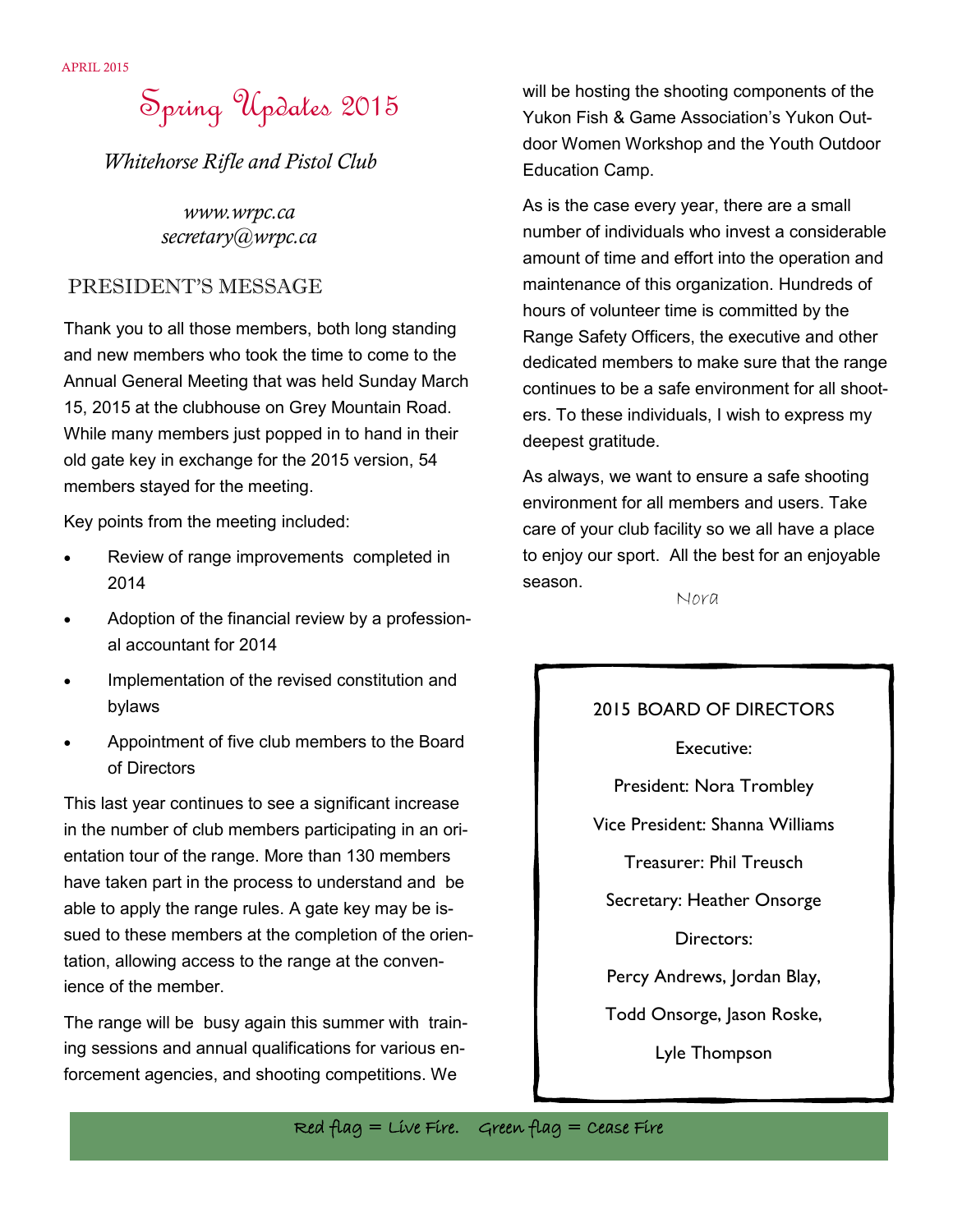# Spring Updates 2015

*Whitehorse Rifle and Pistol Club*

*www.wrpc.ca secretary@wrpc.ca*

### PRESIDENT'S MESSAGE

Thank you to all those members, both long standing and new members who took the time to come to the Annual General Meeting that was held Sunday March 15, 2015 at the clubhouse on Grey Mountain Road. While many members just popped in to hand in their old gate key in exchange for the 2015 version, 54 members stayed for the meeting.

Key points from the meeting included:

- Review of range improvements completed in 2014
- Adoption of the financial review by a professional accountant for 2014
- Implementation of the revised constitution and bylaws
- Appointment of five club members to the Board of Directors

This last year continues to see a significant increase in the number of club members participating in an orientation tour of the range. More than 130 members have taken part in the process to understand and be able to apply the range rules. A gate key may be issued to these members at the completion of the orientation, allowing access to the range at the convenience of the member.

The range will be busy again this summer with training sessions and annual qualifications for various enforcement agencies, and shooting competitions. We

will be hosting the shooting components of the Yukon Fish & Game Association's Yukon Outdoor Women Workshop and the Youth Outdoor Education Camp.

As is the case every year, there are a small number of individuals who invest a considerable amount of time and effort into the operation and maintenance of this organization. Hundreds of hours of volunteer time is committed by the Range Safety Officers, the executive and other dedicated members to make sure that the range continues to be a safe environment for all shooters. To these individuals, I wish to express my deepest gratitude.

As always, we want to ensure a safe shooting environment for all members and users. Take care of your club facility so we all have a place to enjoy our sport. All the best for an enjoyable season.

Nora

#### 2015 BOARD OF DIRECTORS

Executive:

President: Nora Trombley

Vice President: Shanna Williams

Treasurer: Phil Treusch

Secretary: Heather Onsorge

Directors:

Percy Andrews, Jordan Blay,

Todd Onsorge, Jason Roske,

Lyle Thompson

Red flag = Live Fire. Green flag = Cease Fire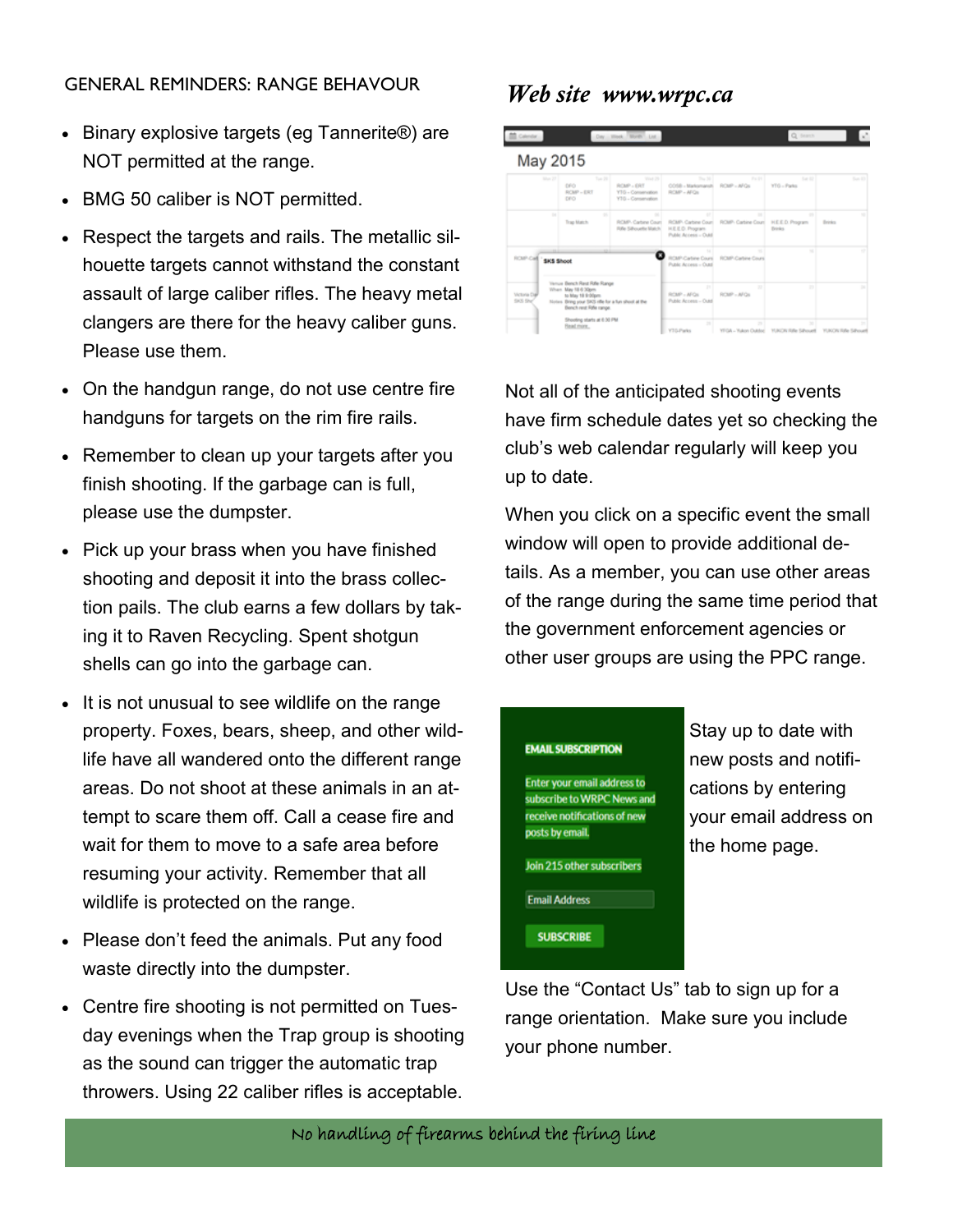### GENERAL REMINDERS: RANGE BEHAVOUR

- Binary explosive targets (eg Tannerite<sup>®</sup>) are NOT permitted at the range.
- BMG 50 caliber is NOT permitted.
- Respect the targets and rails. The metallic silhouette targets cannot withstand the constant assault of large caliber rifles. The heavy metal clangers are there for the heavy caliber guns. Please use them.
- On the handgun range, do not use centre fire handguns for targets on the rim fire rails.
- Remember to clean up your targets after you finish shooting. If the garbage can is full, please use the dumpster.
- Pick up your brass when you have finished shooting and deposit it into the brass collection pails. The club earns a few dollars by taking it to Raven Recycling. Spent shotgun shells can go into the garbage can.
- It is not unusual to see wildlife on the range property. Foxes, bears, sheep, and other wildlife have all wandered onto the different range areas. Do not shoot at these animals in an attempt to scare them off. Call a cease fire and wait for them to move to a safe area before resuming your activity. Remember that all wildlife is protected on the range.
- Please don't feed the animals. Put any food waste directly into the dumpster.
- Centre fire shooting is not permitted on Tuesday evenings when the Trap group is shooting as the sound can trigger the automatic trap throwers. Using 22 caliber rifles is acceptable.

## *Web site www.wrpc.ca*

| Calendar .                    |                                                                                                                                                                                                                               |                                              | Day Hirek Morth Ltd.                                            |                                                                                         |                                    | Q fearch                                           |                         |  |
|-------------------------------|-------------------------------------------------------------------------------------------------------------------------------------------------------------------------------------------------------------------------------|----------------------------------------------|-----------------------------------------------------------------|-----------------------------------------------------------------------------------------|------------------------------------|----------------------------------------------------|-------------------------|--|
| May 2015                      |                                                                                                                                                                                                                               |                                              |                                                                 |                                                                                         |                                    |                                                    |                         |  |
|                               | Man 27                                                                                                                                                                                                                        | $T_{\rm BH}$ [H]<br>DFO<br>ROAD - ERT<br>DFO | Visit 29<br>ROM: URT<br>YTG - Comenyation<br>YTG - Conservation | $T_{\rm BH}$ (b)<br>COSB - Marksmansh<br>ROMP - AFOX                                    | <b>FV 19</b><br>ROIP - AFOL        | 5x12<br><b>YTO - Parks</b>                         | San US                  |  |
|                               | $^{12}$                                                                                                                                                                                                                       | $\sim$<br>Trap Match                         | $\sim$<br>RCMP- Carbine Count<br>Fishe Salvauette Match.        | $\mathbb{R}^n$<br>ROMP, Carbine Court<br><b>HEED</b> . Program<br>Public Access - Outd. | $\sim$<br>ROMP-Carbine Court       | $\sim$<br><b>H.E.E.D. Program</b><br><b>Events</b> | $\sim$<br><b>Brinks</b> |  |
| <b>ROUT-Call</b>              | <b>SKS Shoot</b><br><b>Tierrum Bench Rest Rifle Range</b><br>When May 18 6 30pm<br>to May 18 9:00pm<br>Notes Bring your SICS effector a fun shout at the<br>Bench rest Rafe range.<br>Shooting starts at 6:30 PM<br>Read more |                                              | ROMP Cartine Cours<br>Public Access - Cust                      | <b>ROBP-Cartine Cours</b>                                                               | $\sim$                             | $\sim$                                             |                         |  |
| Victoria Dal<br><b>SKS SN</b> |                                                                                                                                                                                                                               |                                              | 21<br>ROM-AFOL<br>Public Access - Outd.                         | $\overline{1}$<br>ROM - AFOL                                                            | 22 <sup>o</sup>                    | 241                                                |                         |  |
|                               |                                                                                                                                                                                                                               |                                              | $\mathcal{L}$<br>Y7G-Parks                                      | $\mathcal{D}$<br><b>YFGA - Yukon Outdoo</b>                                             | <b>SEC</b><br>YUKON Rifle Silhouet | to:<br>YOU CAN Rafe Rahmund                        |                         |  |

Not all of the anticipated shooting events have firm schedule dates yet so checking the club's web calendar regularly will keep you up to date.

When you click on a specific event the small window will open to provide additional details. As a member, you can use other areas of the range during the same time period that the government enforcement agencies or other user groups are using the PPC range.



Stay up to date with new posts and notifications by entering your email address on the home page.

Use the "Contact Us" tab to sign up for a range orientation. Make sure you include your phone number.

No handling of firearms behind the firing line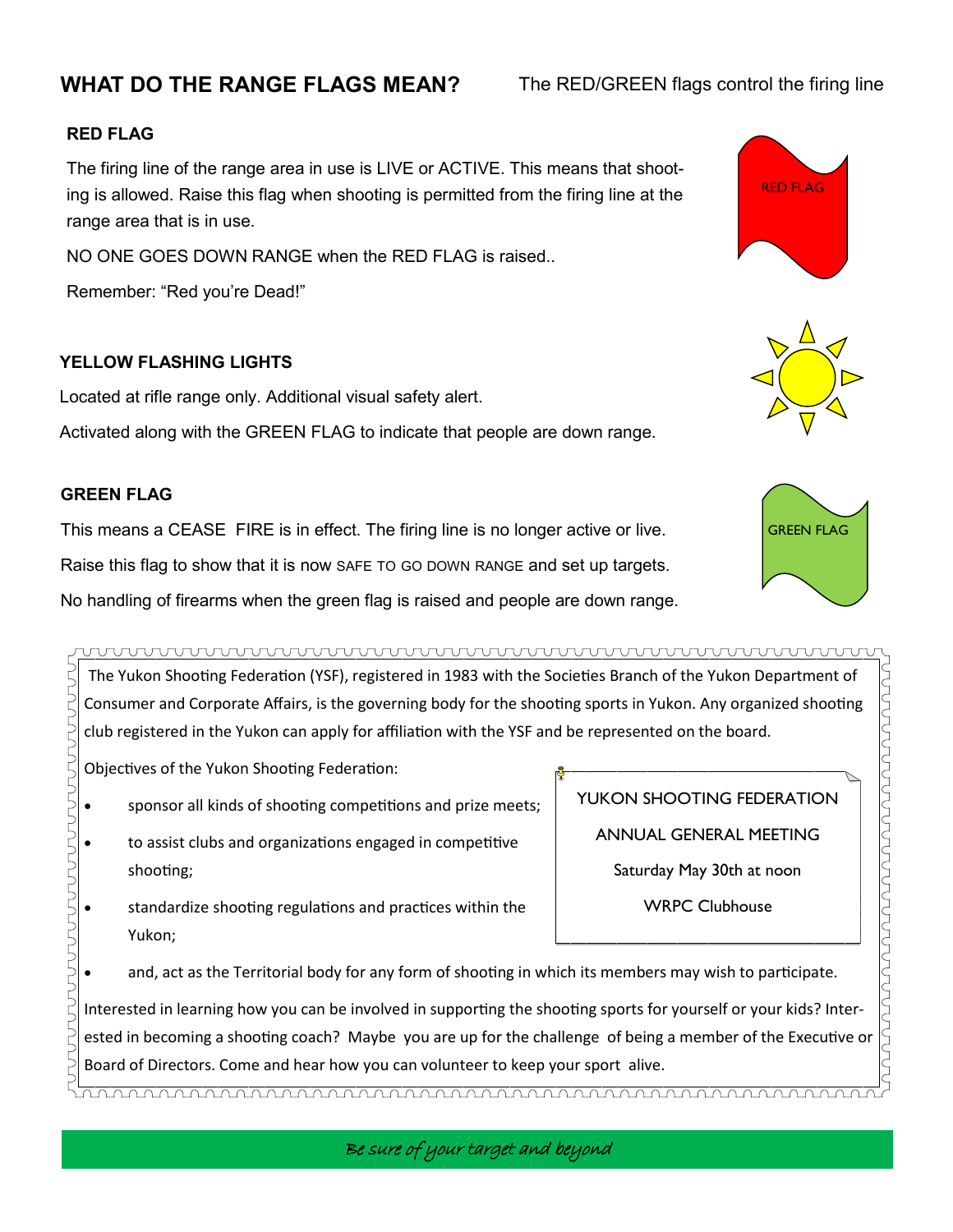# **WHAT DO THE RANGE FLAGS MEAN?**

### The RED/GREEN flags control the firing line

YUKON SHOOTING FEDERATION

ANNUAL GENERAL MEETING

Saturday May 30th at noon

WRPC Clubhouse

### **RED FLAG**

The firing line of the range area in use is LIVE or ACTIVE. This means that shooting is allowed. Raise this flag when shooting is permitted from the firing line at the range area that is in use.

NO ONE GOES DOWN RANGE when the RED FLAG is raised..

Remember: "Red you're Dead!"

### **YELLOW FLASHING LIGHTS**

Located at rifle range only. Additional visual safety alert.

Activated along with the GREEN FLAG to indicate that people are down range.

### **GREEN FLAG**

This means a CEASE FIRE is in effect. The firing line is no longer active or live. Raise this flag to show that it is now SAFE TO GO DOWN RANGE and set up targets. No handling of firearms when the green flag is raised and people are down range.

wwwwwwwwwwwwwwwwwwwwwwwwwwww

The Yukon Shooting Federation (YSF), registered in 1983 with the Societies Branch of the Yukon Department of 5<br>5<br>5<br>5<br>5 Consumer and Corporate Affairs, is the governing body for the shooting sports in Yukon. Any organized shooting club registered in the Yukon can apply for affiliation with the YSF and be represented on the board.

Objectives of the Yukon Shooting Federation:

- sponsor all kinds of shooting competitions and prize meets;
- JUUUUUUUUUUUUUUUUUUUUU to assist clubs and organizations engaged in competitive shooting;
	- standardize shooting regulations and practices within the Yukon;
- and, act as the Territorial body for any form of shooting in which its members may wish to participate.

Interested in learning how you can be involved in supporting the shooting sports for yourself or your kids? Interested in becoming a shooting coach? Maybe you are up for the challenge of being a member of the Executive or Board of Directors. Come and hear how you can volunteer to keep your sport alive.

RED FLAG





Be sure of your target and beyond